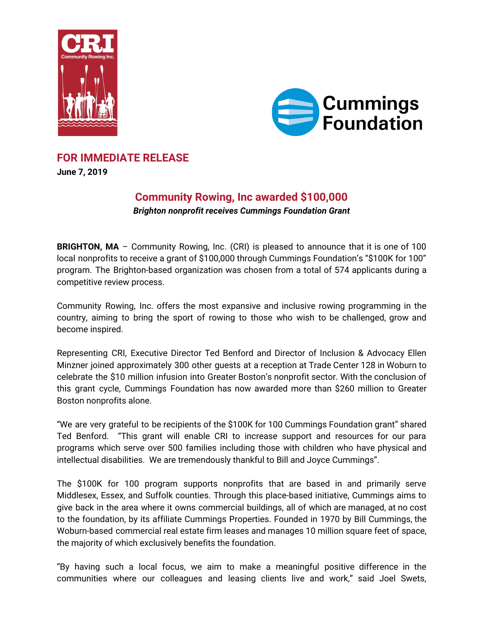



# **FOR IMMEDIATE RELEASE**

**June 7, 2019**

# **Community Rowing, Inc awarded \$100,000** *Brighton nonprofit receives Cummings Foundation Grant*

**BRIGHTON, MA** - Community Rowing, Inc. (CRI) is pleased to announce that it is one of 100 local nonprofits to receive a grant of \$100,000 through Cummings Foundation's "\$100K for 100" program. The Brighton-based organization was chosen from a total of 574 applicants during a competitive review process.

Community Rowing, Inc. offers the most expansive and inclusive rowing programming in the country, aiming to bring the sport of rowing to those who wish to be challenged, grow and become inspired.

Representing CRI, Executive Director Ted Benford and Director of Inclusion & Advocacy Ellen Minzner joined approximately 300 other guests at a reception at Trade Center 128 in Woburn to celebrate the \$10 million infusion into Greater Boston's nonprofit sector. With the conclusion of this grant cycle, Cummings Foundation has now awarded more than \$260 million to Greater Boston nonprofits alone.

"We are very grateful to be recipients of the \$100K for 100 Cummings Foundation grant" shared Ted Benford. "This grant will enable CRI to increase support and resources for our para programs which serve over 500 families including those with children who have physical and intellectual disabilities. We are tremendously thankful to Bill and Joyce Cummings".

The \$100K for 100 program supports nonprofits that are based in and primarily serve Middlesex, Essex, and Suffolk counties. Through this place-based initiative, Cummings aims to give back in the area where it owns commercial buildings, all of which are managed, at no cost to the foundation, by its affiliate Cummings Properties. Founded in 1970 by Bill Cummings, the Woburn-based commercial real estate firm leases and manages 10 million square feet of space, the majority of which exclusively benefits the foundation.

"By having such a local focus, we aim to make a meaningful positive difference in the communities where our colleagues and leasing clients live and work," said Joel Swets,